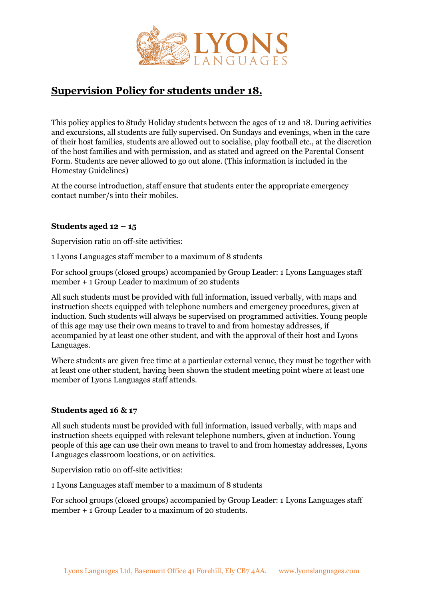

## **Supervision Policy for students under 18.**

This policy applies to Study Holiday students between the ages of 12 and 18. During activities and excursions, all students are fully supervised. On Sundays and evenings, when in the care of their host families, students are allowed out to socialise, play football etc., at the discretion of the host families and with permission, and as stated and agreed on the Parental Consent Form. Students are never allowed to go out alone. (This information is included in the Homestay Guidelines)

At the course introduction, staff ensure that students enter the appropriate emergency contact number/s into their mobiles.

## **Students aged 12 – 15**

Supervision ratio on off-site activities:

1 Lyons Languages staff member to a maximum of 8 students

For school groups (closed groups) accompanied by Group Leader: 1 Lyons Languages staff member + 1 Group Leader to maximum of 20 students

All such students must be provided with full information, issued verbally, with maps and instruction sheets equipped with telephone numbers and emergency procedures, given at induction. Such students will always be supervised on programmed activities. Young people of this age may use their own means to travel to and from homestay addresses, if accompanied by at least one other student, and with the approval of their host and Lyons Languages.

Where students are given free time at a particular external venue, they must be together with at least one other student, having been shown the student meeting point where at least one member of Lyons Languages staff attends.

## **Students aged 16 & 17**

All such students must be provided with full information, issued verbally, with maps and instruction sheets equipped with relevant telephone numbers, given at induction. Young people of this age can use their own means to travel to and from homestay addresses, Lyons Languages classroom locations, or on activities.

Supervision ratio on off-site activities:

1 Lyons Languages staff member to a maximum of 8 students

For school groups (closed groups) accompanied by Group Leader: 1 Lyons Languages staff member + 1 Group Leader to a maximum of 20 students.